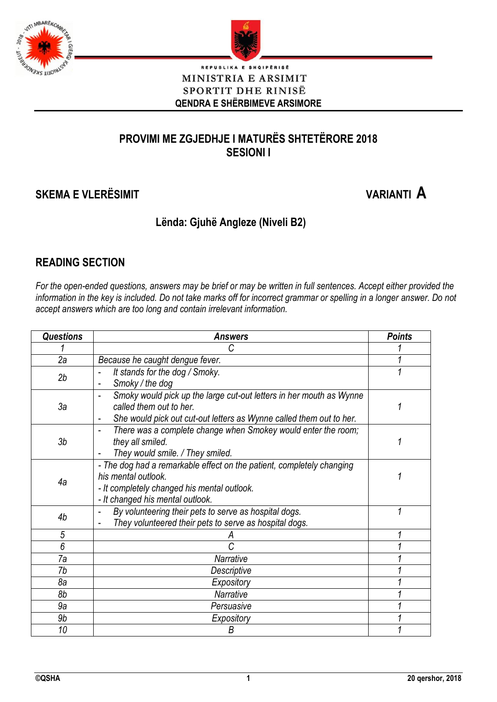



#### $BRISE$ REPUBLIKA E SHO MINISTRIA E ARSIMIT SPORTIT DHE RINISË **QENDRA E SHËRBIMEVE ARSIMORE**

## **PROVIMI ME ZGJEDHJE I MATURËS SHTETËRORE 2018 SESIONI I**

# **SKEMA E VLERËSIMIT VARIANTI A**

### **Lënda: Gjuhë Angleze (Niveli B2)**

#### **READING SECTION**

*For the open-ended questions, answers may be brief or may be written in full sentences. Accept either provided the information in the key is included. Do not take marks off for incorrect grammar or spelling in a longer answer. Do not accept answers which are too long and contain irrelevant information.*

| <b>Questions</b> | <b>Answers</b>                                                          | <b>Points</b> |
|------------------|-------------------------------------------------------------------------|---------------|
|                  | С                                                                       |               |
| 2a               | Because he caught dengue fever.                                         |               |
| 2b               | It stands for the dog / Smoky.                                          |               |
|                  | Smoky / the dog                                                         |               |
|                  | Smoky would pick up the large cut-out letters in her mouth as Wynne     |               |
| За               | called them out to her.                                                 |               |
|                  | She would pick out cut-out letters as Wynne called them out to her.     |               |
|                  | There was a complete change when Smokey would enter the room;           |               |
| 3 <sub>b</sub>   | they all smiled.                                                        |               |
|                  | They would smile. / They smiled.                                        |               |
|                  | - The dog had a remarkable effect on the patient, completely changing   |               |
| 4a               | his mental outlook.                                                     |               |
|                  | - It completely changed his mental outlook.                             |               |
|                  | - It changed his mental outlook.                                        |               |
| 4b               | By volunteering their pets to serve as hospital dogs.<br>$\blacksquare$ |               |
|                  | They volunteered their pets to serve as hospital dogs.                  |               |
| 5<br>6           | C                                                                       |               |
|                  |                                                                         |               |
| 7a               | Narrative                                                               |               |
| 7b               | Descriptive                                                             |               |
| 8а               | Expository                                                              |               |
| 8b               | Narrative                                                               |               |
| 9a               | Persuasive                                                              |               |
| 9b               | Expository                                                              |               |
| 10               | B                                                                       |               |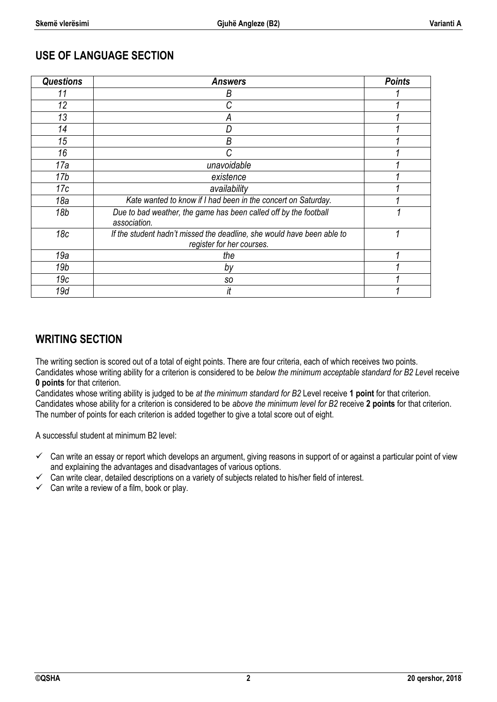#### **USE OF LANGUAGE SECTION**

| <b>Questions</b> | <b>Answers</b>                                                                                      | <b>Points</b> |
|------------------|-----------------------------------------------------------------------------------------------------|---------------|
| 11               | Β                                                                                                   |               |
| 12               |                                                                                                     |               |
| 13               | А                                                                                                   |               |
| 14               |                                                                                                     |               |
| 15               | Β                                                                                                   |               |
| 16               | C                                                                                                   |               |
| 17a              | unavoidable                                                                                         |               |
| 17 <sub>b</sub>  | existence                                                                                           |               |
| 17c              | availability                                                                                        |               |
| 18a              | Kate wanted to know if I had been in the concert on Saturday.                                       |               |
| 18 <sub>b</sub>  | Due to bad weather, the game has been called off by the football<br>association.                    |               |
| 18 <sub>c</sub>  | If the student hadn't missed the deadline, she would have been able to<br>register for her courses. |               |
| 19a              | the                                                                                                 |               |
| 19 <sub>b</sub>  | by                                                                                                  |               |
| 19c              | SO                                                                                                  |               |
| 19d              | it                                                                                                  |               |

#### **WRITING SECTION**

The writing section is scored out of a total of eight points. There are four criteria, each of which receives two points. Candidates whose writing ability for a criterion is considered to be *below the minimum acceptable standard for B2 Leve*l receive **0 points** for that criterion.

Candidates whose writing ability is judged to be *at the minimum standard for B2* Level receive **1 point** for that criterion. Candidates whose ability for a criterion is considered to be *above the minimum level for B2* receive **2 points** for that criterion. The number of points for each criterion is added together to give a total score out of eight.

A successful student at minimum B2 level:

- $\checkmark$  Can write an essay or report which develops an argument, giving reasons in support of or against a particular point of view and explaining the advantages and disadvantages of various options.
- $\checkmark$  Can write clear, detailed descriptions on a variety of subjects related to his/her field of interest.
- $\checkmark$  Can write a review of a film, book or play.